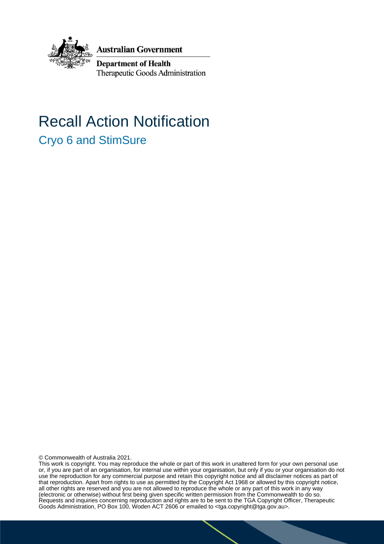

**Australian Government** 

**Department of Health** Therapeutic Goods Administration

# Recall Action Notification Cryo 6 and StimSure

© Commonwealth of Australia 2021.

This work is copyright. You may reproduce the whole or part of this work in unaltered form for your own personal use or, if you are part of an organisation, for internal use within your organisation, but only if you or your organisation do not use the reproduction for any commercial purpose and retain this copyright notice and all disclaimer notices as part of that reproduction. Apart from rights to use as permitted by the Copyright Act 1968 or allowed by this copyright notice, all other rights are reserved and you are not allowed to reproduce the whole or any part of this work in any way (electronic or otherwise) without first being given specific written permission from the Commonwealth to do so. Requests and inquiries concerning reproduction and rights are to be sent to the TGA Copyright Officer, Therapeutic Goods Administration, PO Box 100, Woden ACT 2606 or emailed to <tga.copyright@tga.gov.au>.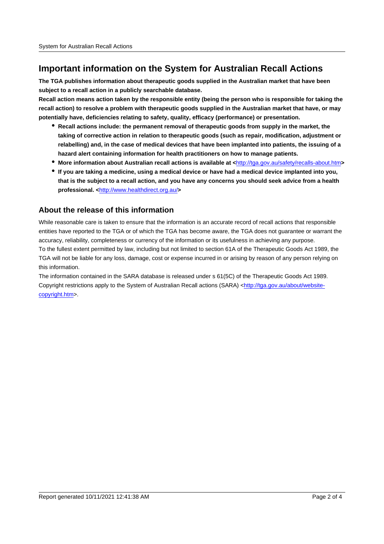## **Important information on the System for Australian Recall Actions**

**The TGA publishes information about therapeutic goods supplied in the Australian market that have been subject to a recall action in a publicly searchable database.**

**Recall action means action taken by the responsible entity (being the person who is responsible for taking the recall action) to resolve a problem with therapeutic goods supplied in the Australian market that have, or may potentially have, deficiencies relating to safety, quality, efficacy (performance) or presentation.**

- **Recall actions include: the permanent removal of therapeutic goods from supply in the market, the taking of corrective action in relation to therapeutic goods (such as repair, modification, adjustment or relabelling) and, in the case of medical devices that have been implanted into patients, the issuing of a hazard alert containing information for health practitioners on how to manage patients.**
- **More information about Australian recall actions is available at <**http://tga.gov.au/safety/recalls-about.htm**>**
- **If you are taking a medicine, using a medical device or have had a medical device implanted into you, that is the subject to a recall action, and you have any concerns you should seek advice from a health professional. <**http://www.healthdirect.org.au/**>**

#### **About the release of this information**

While reasonable care is taken to ensure that the information is an accurate record of recall actions that responsible entities have reported to the TGA or of which the TGA has become aware, the TGA does not guarantee or warrant the accuracy, reliability, completeness or currency of the information or its usefulness in achieving any purpose. To the fullest extent permitted by law, including but not limited to section 61A of the Therapeutic Goods Act 1989, the TGA will not be liable for any loss, damage, cost or expense incurred in or arising by reason of any person relying on this information.

The information contained in the SARA database is released under s 61(5C) of the Therapeutic Goods Act 1989. Copyright restrictions apply to the System of Australian Recall actions (SARA) <http://tga.gov.au/about/websitecopyright.htm>.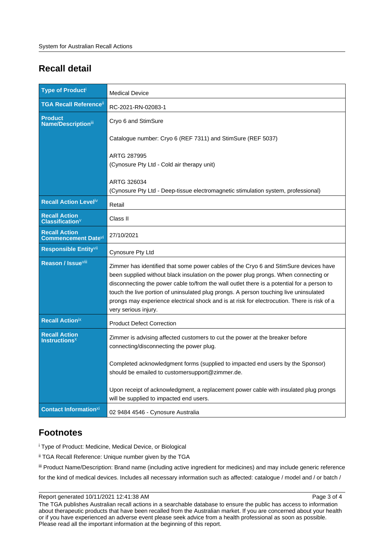# **Recall detail**

| <b>Type of Producti</b>                                 | <b>Medical Device</b>                                                                                                                                                                                                                                                                                                                                                                                                                                                                     |
|---------------------------------------------------------|-------------------------------------------------------------------------------------------------------------------------------------------------------------------------------------------------------------------------------------------------------------------------------------------------------------------------------------------------------------------------------------------------------------------------------------------------------------------------------------------|
| <b>TGA Recall Reference</b> <sup>ii</sup>               | RC-2021-RN-02083-1                                                                                                                                                                                                                                                                                                                                                                                                                                                                        |
| <b>Product</b><br>Name/Descriptioniii                   | Cryo 6 and StimSure                                                                                                                                                                                                                                                                                                                                                                                                                                                                       |
|                                                         | Catalogue number: Cryo 6 (REF 7311) and StimSure (REF 5037)                                                                                                                                                                                                                                                                                                                                                                                                                               |
|                                                         | ARTG 287995<br>(Cynosure Pty Ltd - Cold air therapy unit)                                                                                                                                                                                                                                                                                                                                                                                                                                 |
|                                                         | ARTG 326034<br>(Cynosure Pty Ltd - Deep-tissue electromagnetic stimulation system, professional)                                                                                                                                                                                                                                                                                                                                                                                          |
| <b>Recall Action Levelly</b>                            | Retail                                                                                                                                                                                                                                                                                                                                                                                                                                                                                    |
| <b>Recall Action</b><br>Classification <sup>V</sup>     | Class II                                                                                                                                                                                                                                                                                                                                                                                                                                                                                  |
| <b>Recall Action</b><br><b>Commencement Date</b> Vi     | 27/10/2021                                                                                                                                                                                                                                                                                                                                                                                                                                                                                |
| Responsible Entity <sup>vii</sup>                       | Cynosure Pty Ltd                                                                                                                                                                                                                                                                                                                                                                                                                                                                          |
| Reason / Issue <sup>viii</sup>                          | Zimmer has identified that some power cables of the Cryo 6 and StimSure devices have<br>been supplied without black insulation on the power plug prongs. When connecting or<br>disconnecting the power cable to/from the wall outlet there is a potential for a person to<br>touch the live portion of uninsulated plug prongs. A person touching live uninsulated<br>prongs may experience electrical shock and is at risk for electrocution. There is risk of a<br>very serious injury. |
| <b>Recall Actionix</b>                                  | <b>Product Defect Correction</b>                                                                                                                                                                                                                                                                                                                                                                                                                                                          |
| <b>Recall Action</b><br><b>Instructions<sup>x</sup></b> | Zimmer is advising affected customers to cut the power at the breaker before<br>connecting/disconnecting the power plug.                                                                                                                                                                                                                                                                                                                                                                  |
|                                                         | Completed acknowledgment forms (supplied to impacted end users by the Sponsor)<br>should be emailed to customersupport@zimmer.de.                                                                                                                                                                                                                                                                                                                                                         |
|                                                         | Upon receipt of acknowledgment, a replacement power cable with insulated plug prongs<br>will be supplied to impacted end users.                                                                                                                                                                                                                                                                                                                                                           |
| <b>Contact Informationxi</b>                            | 02 9484 4546 - Cynosure Australia                                                                                                                                                                                                                                                                                                                                                                                                                                                         |

## **Footnotes**

i Type of Product: Medicine, Medical Device, or Biological

ii TGA Recall Reference: Unique number given by the TGA

iii Product Name/Description: Brand name (including active ingredient for medicines) and may include generic reference

for the kind of medical devices. Includes all necessary information such as affected: catalogue / model and / or batch /

The TGA publishes Australian recall actions in a searchable database to ensure the public has access to information about therapeutic products that have been recalled from the Australian market. If you are concerned about your health or if you have experienced an adverse event please seek advice from a health professional as soon as possible. Please read all the important information at the beginning of this report.

Report generated 10/11/2021 12:41:38 AM

Page 3 of 4